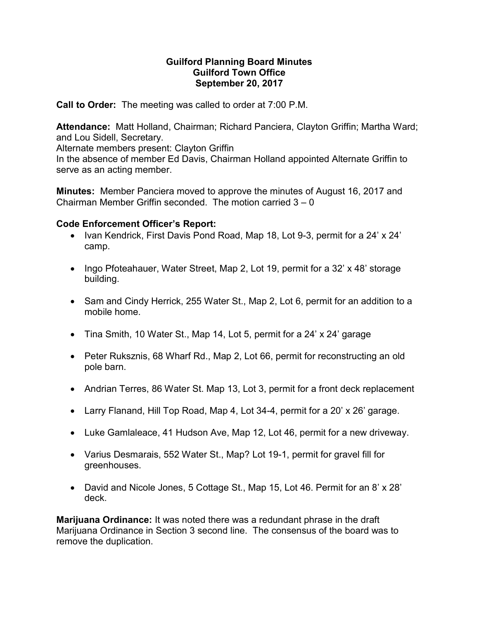## Guilford Planning Board Minutes Guilford Town Office September 20, 2017

Call to Order: The meeting was called to order at 7:00 P.M.

Attendance: Matt Holland, Chairman; Richard Panciera, Clayton Griffin; Martha Ward; and Lou Sidell, Secretary.

Alternate members present: Clayton Griffin

In the absence of member Ed Davis, Chairman Holland appointed Alternate Griffin to serve as an acting member.

Minutes: Member Panciera moved to approve the minutes of August 16, 2017 and Chairman Member Griffin seconded. The motion carried 3 – 0

## Code Enforcement Officer's Report:

- Ivan Kendrick, First Davis Pond Road, Map 18, Lot 9-3, permit for a 24' x 24' camp.
- Ingo Pfoteahauer, Water Street, Map 2, Lot 19, permit for a 32' x 48' storage building.
- Sam and Cindy Herrick, 255 Water St., Map 2, Lot 6, permit for an addition to a mobile home.
- Tina Smith, 10 Water St., Map 14, Lot 5, permit for a 24' x 24' garage
- Peter Ruksznis, 68 Wharf Rd., Map 2, Lot 66, permit for reconstructing an old pole barn.
- Andrian Terres, 86 Water St. Map 13, Lot 3, permit for a front deck replacement
- Larry Flanand, Hill Top Road, Map 4, Lot 34-4, permit for a 20' x 26' garage.
- Luke Gamlaleace, 41 Hudson Ave, Map 12, Lot 46, permit for a new driveway.
- Varius Desmarais, 552 Water St., Map? Lot 19-1, permit for gravel fill for greenhouses.
- David and Nicole Jones, 5 Cottage St., Map 15, Lot 46. Permit for an 8' x 28' deck.

**Marijuana Ordinance:** It was noted there was a redundant phrase in the draft Marijuana Ordinance in Section 3 second line. The consensus of the board was to remove the duplication.